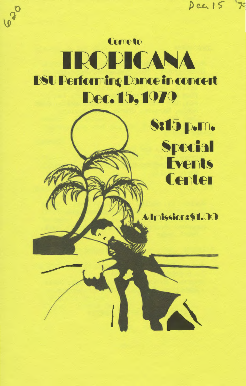**Cometo** TROPICANA **BSU Performing Dance in concert** Dec. 15, 1979

620

8:15 p.m. **Special Events Center** 

 $Dez15$ 

 $7c$ 

Admission: \$1.00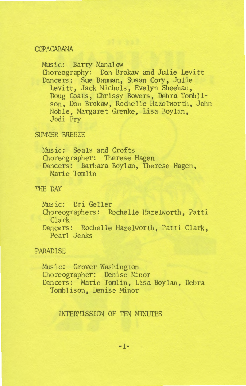### **COPACABANA**

Music: Barry Manalow 01oreography: Don Brokaw and Julie Levitt Dancers: Sue Bauman, Susan Cory, Julie Levitt, Jack Nichols, Evelyn Sheehan, Doug Coats, Chrissy Bowers, Debra Tomblison, Don Brokaw, Rochelle Hazelworth, John Noble, Margaret Grenke, Lisa Boylan, Jodj Fry

#### SUMMER BREEZE

Music: Seals and Crofts Choreographer: Therese Hagen Dancers: Barbara Boylan, Therese Hagen, Marie Tomlin

### THE DAY

Music: Uri Geller Choreographers: Rochelle Hazelworth, Patti Clark Dancers: Rochelle Hazelworth, Patti Clark, Pearl Jenks

#### PARADISE

Music: Grover Washington 01oreographer: Denise Minor Dancers: Marie Tomlin, Lisa Boylan, Debra Tomblison, Denise Minor

### INTERMISSION OF TEN MINUTES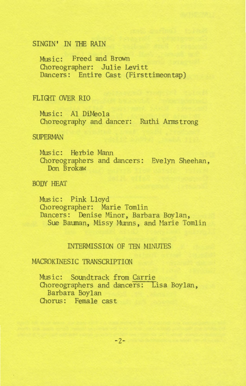## SINGIN' IN THE RAIN

MUsic: Freed and Brown Choreographer: Julie Levitt Dancers: Entire Cast (Firsttimeontap)

## FLIGHT OVER RIO

Music: Al DiMeola Choreography and dancer: Ruthi Armstrong

#### **SUPERMAN**

Music: Herbie Mann Choreographers and dancers: Evelyn Sheehan, Don Brokaw

BODY HEAT

Music: Pink Lloyd Choreographer: Marie Tomlin Dancers: Denise Minor, Barbara Boylan, Sue Bauman, Missy Munns, and Marie Tomlin

## INTERMISSION OF TEN MINUTES

# MACROKINESIC TRANSCRIPTION

Music: Soundtrack from Carrie Choreographers and dancers: Lisa Boylan, Barbara Boylan Chorus: Female cast